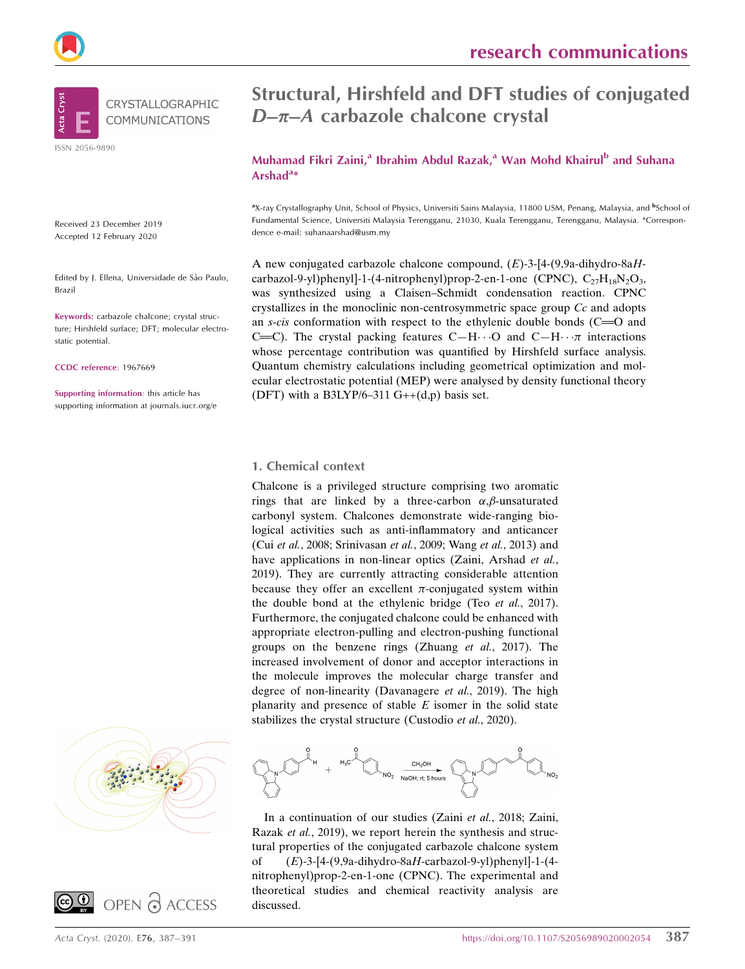



ISSN 2056-9890

Received 23 December 2019 Accepted 12 February 2020

Edited by J. Ellena, Universidade de Sâo Paulo, Brazil

Keywords: carbazole chalcone; crystal structure; Hirshfeld surface; DFT; molecular electrostatic potential.

CCDC reference: 1967669

Supporting information: this article has supporting information at journals.iucr.org/e





Muhamad Fikri Zaini,<sup>a</sup> Ibrahim Abdul Razak,<sup>a</sup> Wan Mohd Khairul<sup>b</sup> and Suhana Arshad<sup>a\*</sup>

<sup>a</sup>X-ray Crystallography Unit, School of Physics, Universiti Sains Malaysia, 11800 USM, Penang, Malaysia, and <sup>b</sup>School of Fundamental Science, Universiti Malaysia Terengganu, 21030, Kuala Terengganu, Terengganu, Malaysia. \*Correspondence e-mail: suhanaarshad@usm.my

A new conjugated carbazole chalcone compound,  $(E)$ -3-[4-(9,9a-dihydro-8aHcarbazol-9-yl)phenyl]-1-(4-nitrophenyl)prop-2-en-1-one (CPNC),  $C_{27}H_{18}N_2O_3$ , was synthesized using a Claisen–Schmidt condensation reaction. CPNC crystallizes in the monoclinic non-centrosymmetric space group Cc and adopts an s-cis conformation with respect to the ethylenic double bonds  $(C=0)$  and C=C). The crystal packing features C-H $\cdots$ O and C-H $\cdots \pi$  interactions whose percentage contribution was quantified by Hirshfeld surface analysis. Quantum chemistry calculations including geometrical optimization and molecular electrostatic potential (MEP) were analysed by density functional theory (DFT) with a B3LYP/6-311  $G++(d,p)$  basis set.

#### 1. Chemical context

Chalcone is a privileged structure comprising two aromatic rings that are linked by a three-carbon  $\alpha$ ,  $\beta$ -unsaturated carbonyl system. Chalcones demonstrate wide-ranging biological activities such as anti-inflammatory and anticancer (Cui et al., 2008; Srinivasan et al., 2009; Wang et al., 2013) and have applications in non-linear optics (Zaini, Arshad et al., 2019). They are currently attracting considerable attention because they offer an excellent  $\pi$ -conjugated system within the double bond at the ethylenic bridge (Teo et al., 2017). Furthermore, the conjugated chalcone could be enhanced with appropriate electron-pulling and electron-pushing functional groups on the benzene rings (Zhuang et al., 2017). The increased involvement of donor and acceptor interactions in the molecule improves the molecular charge transfer and degree of non-linearity (Davanagere et al., 2019). The high planarity and presence of stable  $E$  isomer in the solid state stabilizes the crystal structure (Custodio et al., 2020).



In a continuation of our studies (Zaini et al., 2018; Zaini, Razak et al., 2019), we report herein the synthesis and structural properties of the conjugated carbazole chalcone system of  $(E)$ -3-[4-(9,9a-dihydro-8aH-carbazol-9-yl)phenyl]-1-(4nitrophenyl)prop-2-en-1-one (CPNC). The experimental and theoretical studies and chemical reactivity analysis are discussed.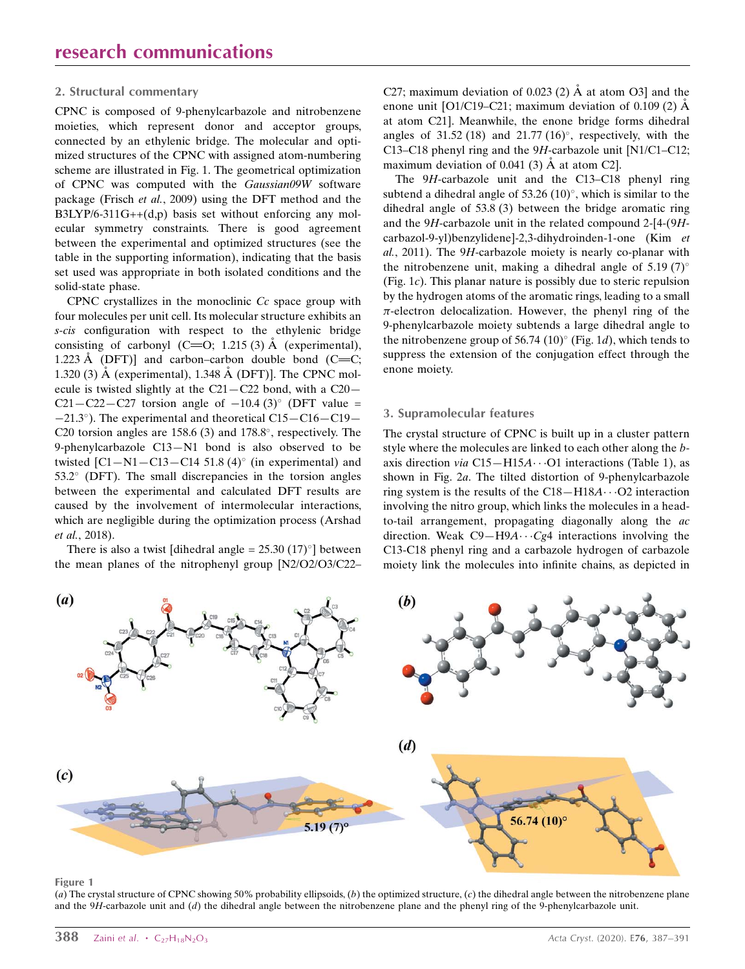#### 2. Structural commentary

CPNC is composed of 9-phenylcarbazole and nitrobenzene moieties, which represent donor and acceptor groups, connected by an ethylenic bridge. The molecular and optimized structures of the CPNC with assigned atom-numbering scheme are illustrated in Fig. 1. The geometrical optimization of CPNC was computed with the Gaussian09W software package (Frisch et al., 2009) using the DFT method and the  $B3LYP/6-311G++(d,p)$  basis set without enforcing any molecular symmetry constraints. There is good agreement between the experimental and optimized structures (see the table in the supporting information), indicating that the basis set used was appropriate in both isolated conditions and the solid-state phase.

CPNC crystallizes in the monoclinic Cc space group with four molecules per unit cell. Its molecular structure exhibits an s-cis configuration with respect to the ethylenic bridge consisting of carbonyl  $(C=O; 1.215(3)$  Å (experimental), 1.223 Å (DFT)] and carbon–carbon double bond (C=C; 1.320 (3)  $\AA$  (experimental), 1.348  $\AA$  (DFT)]. The CPNC molecule is twisted slightly at the C21—C22 bond, with a C20— C21-C22-C27 torsion angle of  $-10.4$  (3)<sup>o</sup> (DFT value =  $-21.3^{\circ}$ ). The experimental and theoretical C15 $-$ C16 $-$ C19 $-$ C20 torsion angles are  $158.6$  (3) and  $178.8^{\circ}$ , respectively. The 9-phenylcarbazole C13—N1 bond is also observed to be twisted  $\text{[C1-N1-C13-C14 51.8 (4)}^{\circ}$  (in experimental) and  $53.2^{\circ}$  (DFT). The small discrepancies in the torsion angles between the experimental and calculated DFT results are caused by the involvement of intermolecular interactions, which are negligible during the optimization process (Arshad et al., 2018).

There is also a twist [dihedral angle =  $25.30 (17)°$ ] between the mean planes of the nitrophenyl group [N2/O2/O3/C22–

C27; maximum deviation of 0.023 (2)  $\AA$  at atom O3] and the enone unit  $[O1/C19-C21]$ ; maximum deviation of 0.109 (2)  $\AA$ at atom C21]. Meanwhile, the enone bridge forms dihedral angles of 31.52 (18) and 21.77 (16) $^{\circ}$ , respectively, with the C13–C18 phenyl ring and the 9H-carbazole unit [N1/C1–C12; maximum deviation of 0.041 (3)  $\AA$  at atom C2].

The 9H-carbazole unit and the C13–C18 phenyl ring subtend a dihedral angle of  $53.26$  (10)°, which is similar to the dihedral angle of 53.8 (3) between the bridge aromatic ring and the 9H-carbazole unit in the related compound 2-[4-(9Hcarbazol-9-yl)benzylidene]-2,3-dihydroinden-1-one (Kim et al., 2011). The 9H-carbazole moiety is nearly co-planar with the nitrobenzene unit, making a dihedral angle of 5.19  $(7)^\circ$ (Fig. 1c). This planar nature is possibly due to steric repulsion by the hydrogen atoms of the aromatic rings, leading to a small  $\pi$ -electron delocalization. However, the phenyl ring of the 9-phenylcarbazole moiety subtends a large dihedral angle to the nitrobenzene group of 56.74 (10) $^{\circ}$  (Fig. 1d), which tends to suppress the extension of the conjugation effect through the enone moiety.

#### 3. Supramolecular features

The crystal structure of CPNC is built up in a cluster pattern style where the molecules are linked to each other along the baxis direction via  $C15 - H15A \cdots O1$  interactions (Table 1), as shown in Fig. 2a. The tilted distortion of 9-phenylcarbazole ring system is the results of the  $C18 - H18A \cdots O2$  interaction involving the nitro group, which links the molecules in a headto-tail arrangement, propagating diagonally along the ac direction. Weak  $C9 - H9A \cdots Cg4$  interactions involving the C13-C18 phenyl ring and a carbazole hydrogen of carbazole moiety link the molecules into infinite chains, as depicted in



Figure 1

(a) The crystal structure of CPNC showing 50% probability ellipsoids, (b) the optimized structure, (c) the dihedral angle between the nitrobenzene plane and the  $9H$ -carbazole unit and  $(d)$  the dihedral angle between the nitrobenzene plane and the phenyl ring of the 9-phenylcarbazole unit.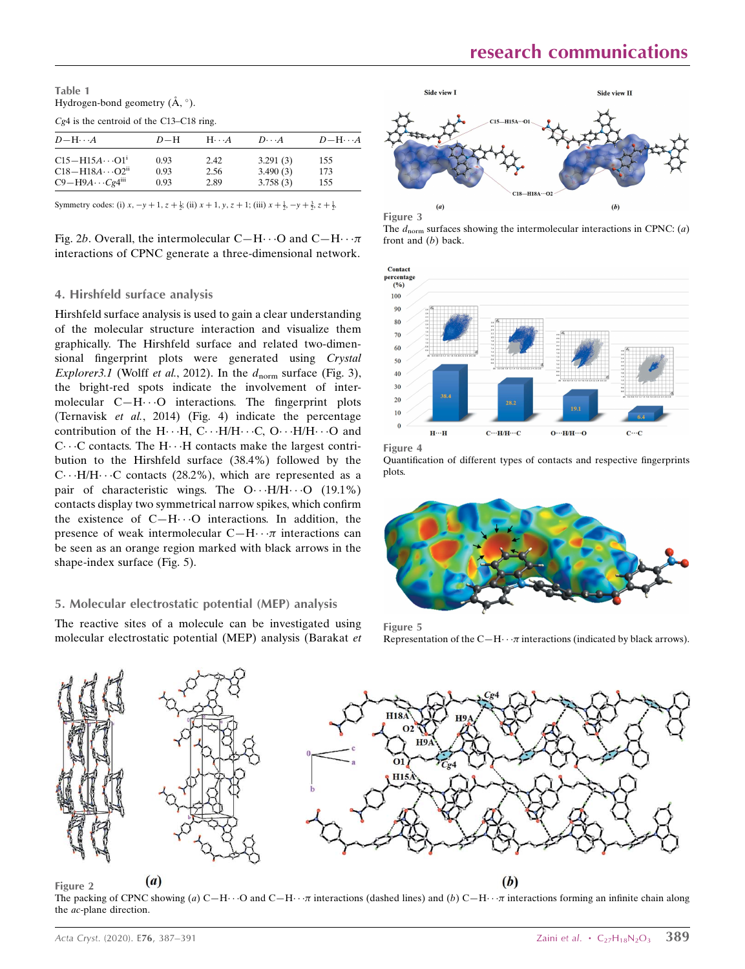Table 1 Hydrogen-bond geometry  $(\AA, \degree)$ .

Cg4 is the centroid of the C13–C18 ring.

| $D-H$ | $H \cdot \cdot \cdot A$ | $D\cdot\cdot\cdot A$ | $D - H \cdots A$ |
|-------|-------------------------|----------------------|------------------|
| 0.93  | 2.42                    | 3.291(3)             | 155              |
| 0.93  | 2.56                    | 3.490(3)             | 173              |
| 0.93  | 2.89                    | 3.758(3)             | 155              |
|       |                         |                      |                  |

Symmetry codes: (i)  $x, -y + 1, z + \frac{1}{2}$ ; (ii)  $x + 1, y, z + 1$ ; (iii)  $x + \frac{1}{2}, -y + \frac{3}{2}, z + \frac{1}{2}$ .

Fig. 2b. Overall, the intermolecular  $C-H \cdots O$  and  $C-H \cdots \pi$ interactions of CPNC generate a three-dimensional network.

#### 4. Hirshfeld surface analysis

Hirshfeld surface analysis is used to gain a clear understanding of the molecular structure interaction and visualize them graphically. The Hirshfeld surface and related two-dimensional fingerprint plots were generated using Crystal Explorer3.1 (Wolff et al., 2012). In the  $d_{\text{norm}}$  surface (Fig. 3), the bright-red spots indicate the involvement of intermolecular C-H $\cdot \cdot$ O interactions. The fingerprint plots (Ternavisk et al., 2014) (Fig. 4) indicate the percentage contribution of the  $H \cdots H$ , C $\cdots$  H/H $\cdots$  C, O $\cdots$  H/H $\cdots$  O and C···C contacts. The H···H contacts make the largest contribution to the Hirshfeld surface (38.4%) followed by the  $C \cdots H/H \cdots C$  contacts (28.2%), which are represented as a pair of characteristic wings. The  $O \cdot \cdot H/H \cdot \cdot \cdot O$  (19.1%) contacts display two symmetrical narrow spikes, which confirm the existence of  $C-H\cdots O$  interactions. In addition, the presence of weak intermolecular  $C-H \cdots \pi$  interactions can be seen as an orange region marked with black arrows in the shape-index surface (Fig. 5).

#### 5. Molecular electrostatic potential (MEP) analysis

The reactive sites of a molecule can be investigated using molecular electrostatic potential (MEP) analysis (Barakat et





The  $d_{norm}$  surfaces showing the intermolecular interactions in CPNC: (a) front and (b) back.



Figure 4

Quantification of different types of contacts and respective fingerprints plots.



Figure 5 Representation of the C $-H \cdots \pi$  interactions (indicated by black arrows).



Figure 2

The packing of CPNC showing (a)  $C-H \cdot \cdot \cdot O$  and  $C-H \cdot \cdot \cdot \pi$  interactions (dashed lines) and (b)  $C-H \cdot \cdot \cdot \pi$  interactions forming an infinite chain along the ac-plane direction.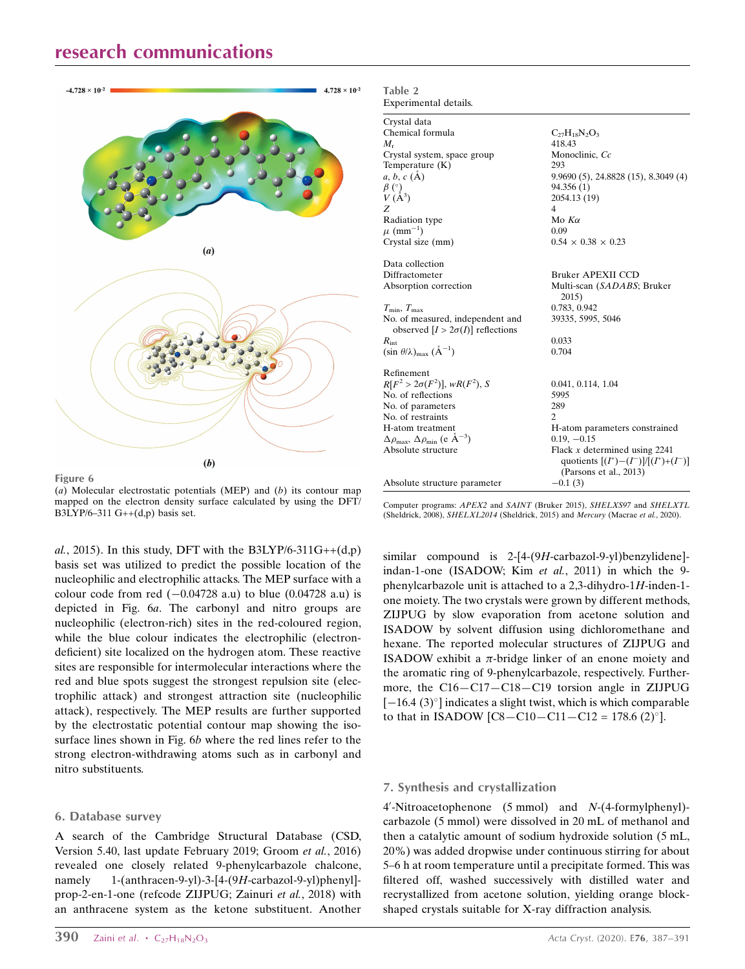## research communications



Figure 6 (a) Molecular electrostatic potentials (MEP) and  $(b)$  its contour map mapped on the electron density surface calculated by using the DFT/ B3LYP/6-311 G++ $(d,p)$  basis set.

al., 2015). In this study, DFT with the B3LYP/6-311G++ $(d,p)$ basis set was utilized to predict the possible location of the nucleophilic and electrophilic attacks. The MEP surface with a colour code from red  $(-0.04728 \text{ a.u})$  to blue  $(0.04728 \text{ a.u})$  is depicted in Fig. 6a. The carbonyl and nitro groups are nucleophilic (electron-rich) sites in the red-coloured region, while the blue colour indicates the electrophilic (electrondeficient) site localized on the hydrogen atom. These reactive sites are responsible for intermolecular interactions where the red and blue spots suggest the strongest repulsion site (electrophilic attack) and strongest attraction site (nucleophilic attack), respectively. The MEP results are further supported by the electrostatic potential contour map showing the isosurface lines shown in Fig. 6b where the red lines refer to the strong electron-withdrawing atoms such as in carbonyl and nitro substituents.

#### 6. Database survey

A search of the Cambridge Structural Database (CSD, Version 5.40, last update February 2019; Groom et al., 2016) revealed one closely related 9-phenylcarbazole chalcone, namely 1-(anthracen-9-yl)-3-[4-(9H-carbazol-9-yl)phenyl] prop-2-en-1-one (refcode ZIJPUG; Zainuri et al., 2018) with an anthracene system as the ketone substituent. Another

| Crystal data                                                                 |                                                                                                        |
|------------------------------------------------------------------------------|--------------------------------------------------------------------------------------------------------|
| Chemical formula                                                             | $C_{27}H_{18}N_2O_3$                                                                                   |
| $M_{r}$                                                                      | 418.43                                                                                                 |
| Crystal system, space group                                                  | Monoclinic, Cc                                                                                         |
| Temperature $(K)$                                                            | 293                                                                                                    |
| $a, b, c (\AA)$                                                              | $9.9690(5)$ , 24.8828 $(15)$ , 8.3049 $(4)$                                                            |
| $\beta$ (°)                                                                  | 94.356 (1)                                                                                             |
| $V(\AA^3)$                                                                   | 2054.13 (19)                                                                                           |
| Z                                                                            | $\overline{4}$                                                                                         |
| Radiation type                                                               | Mo $K\alpha$                                                                                           |
| $\mu$ (mm <sup>-1</sup> )                                                    | 0.09                                                                                                   |
| Crystal size (mm)                                                            | $0.54 \times 0.38 \times 0.23$                                                                         |
| Data collection                                                              |                                                                                                        |
| Diffractometer                                                               | <b>Bruker APEXII CCD</b>                                                                               |
| Absorption correction                                                        | Multi-scan (SADABS; Bruker<br>2015)                                                                    |
| $T_{\min}, T_{\max}$                                                         | 0.783, 0.942                                                                                           |
| No. of measured, independent and<br>observed $[I > 2\sigma(I)]$ reflections  | 39335, 5995, 5046                                                                                      |
| $R_{\rm int}$                                                                | 0.033                                                                                                  |
| $(\sin \theta/\lambda)_{\text{max}} (\text{\AA}^{-1})$                       | 0.704                                                                                                  |
| Refinement                                                                   |                                                                                                        |
| $R[F^2 > 2\sigma(F^2)], wR(F^2), S$                                          | 0.041, 0.114, 1.04                                                                                     |
| No. of reflections                                                           | 5995                                                                                                   |
| No. of parameters                                                            | 289                                                                                                    |
| No. of restraints                                                            | $\mathcal{D}_{\mathcal{L}}$                                                                            |
| H-atom treatment                                                             | H-atom parameters constrained                                                                          |
| $\Delta \rho_{\text{max}}$ , $\Delta \rho_{\text{min}}$ (e $\rm{\AA}^{-3}$ ) | $0.19, -0.15$                                                                                          |
| Absolute structure                                                           | Flack $x$ determined using 2241<br>quotients $[(I^+)- (I^-)]/[(I^+)+ (I^-)]$<br>(Parsons et al., 2013) |
| Absolute structure parameter                                                 | $-0.1(3)$                                                                                              |
|                                                                              |                                                                                                        |

Table 2

Experimental details.

Computer programs: APEX2 and SAINT (Bruker 2015), SHELXS97 and SHELXTL (Sheldrick, 2008), SHELXL2014 (Sheldrick, 2015) and Mercury (Macrae et al., 2020).

similar compound is 2-[4-(9H-carbazol-9-yl)benzylidene] indan-1-one (ISADOW; Kim et al., 2011) in which the 9 phenylcarbazole unit is attached to a 2,3-dihydro-1H-inden-1 one moiety. The two crystals were grown by different methods, ZIJPUG by slow evaporation from acetone solution and ISADOW by solvent diffusion using dichloromethane and hexane. The reported molecular structures of ZIJPUG and ISADOW exhibit a  $\pi$ -bridge linker of an enone moiety and the aromatic ring of 9-phenylcarbazole, respectively. Furthermore, the C16—C17—C18—C19 torsion angle in ZIJPUG  $[-16.4 (3)$ <sup>o</sup>] indicates a slight twist, which is which comparable to that in ISADOW  $[CS - C10 - C11 - C12 = 178.6 (2)^{\circ}].$ 

#### 7. Synthesis and crystallization

4'-Nitroacetophenone (5 mmol) and N-(4-formylphenyl)carbazole (5 mmol) were dissolved in 20 mL of methanol and then a catalytic amount of sodium hydroxide solution (5 mL, 20%) was added dropwise under continuous stirring for about 5–6 h at room temperature until a precipitate formed. This was filtered off, washed successively with distilled water and recrystallized from acetone solution, yielding orange blockshaped crystals suitable for X-ray diffraction analysis.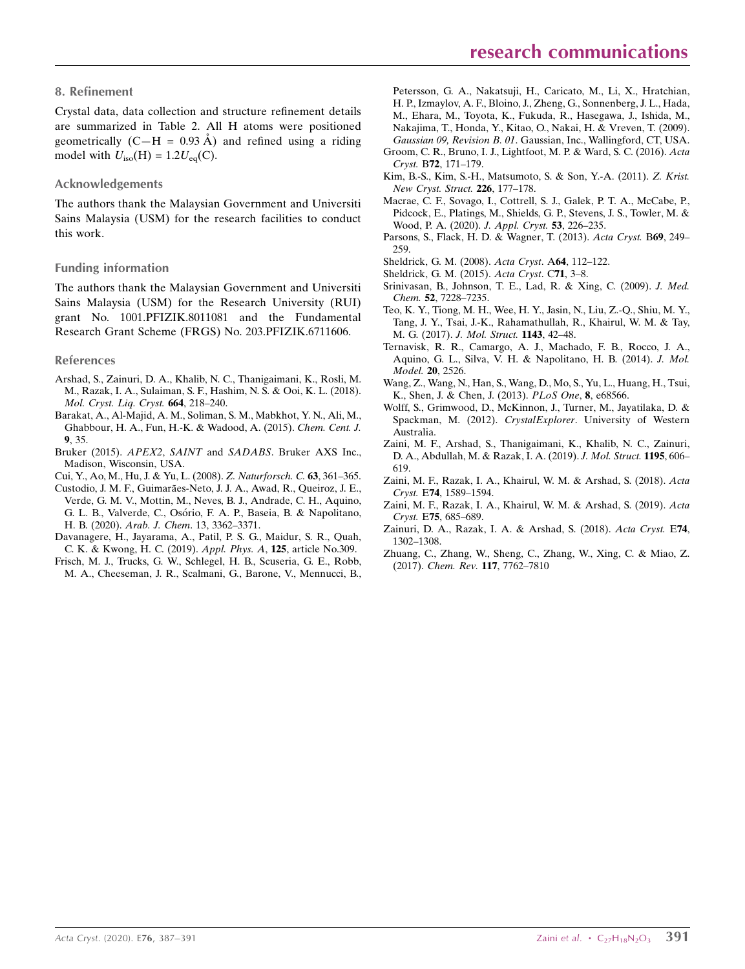#### 8. Refinement

Crystal data, data collection and structure refinement details are summarized in Table 2. All H atoms were positioned geometrically  $(C-H = 0.93 \text{ Å})$  and refined using a riding model with  $U_{\text{iso}}(\text{H}) = 1.2U_{\text{eq}}(\text{C})$ .

#### Acknowledgements

The authors thank the Malaysian Government and Universiti Sains Malaysia (USM) for the research facilities to conduct this work.

#### Funding information

The authors thank the Malaysian Government and Universiti Sains Malaysia (USM) for the Research University (RUI) grant No. 1001.PFIZIK.8011081 and the Fundamental Research Grant Scheme (FRGS) No. 203.PFIZIK.6711606.

#### References

- [Arshad, S., Zainuri, D. A., Khalib, N. C., Thanigaimani, K., Rosli, M.](http://scripts.iucr.org/cgi-bin/cr.cgi?rm=pdfbb&cnor=ex2028&bbid=BB1) [M., Razak, I. A., Sulaiman, S. F., Hashim, N. S. & Ooi, K. L. \(2018\).](http://scripts.iucr.org/cgi-bin/cr.cgi?rm=pdfbb&cnor=ex2028&bbid=BB1) [Mol. Cryst. Liq. Cryst.](http://scripts.iucr.org/cgi-bin/cr.cgi?rm=pdfbb&cnor=ex2028&bbid=BB1) 664, 218–240.
- [Barakat, A., Al-Majid, A. M., Soliman, S. M., Mabkhot, Y. N., Ali, M.,](http://scripts.iucr.org/cgi-bin/cr.cgi?rm=pdfbb&cnor=ex2028&bbid=BB2) [Ghabbour, H. A., Fun, H.-K. & Wadood, A. \(2015\).](http://scripts.iucr.org/cgi-bin/cr.cgi?rm=pdfbb&cnor=ex2028&bbid=BB2) Chem. Cent. J. 9[, 35.](http://scripts.iucr.org/cgi-bin/cr.cgi?rm=pdfbb&cnor=ex2028&bbid=BB2)
- Bruker (2015). APEX2, SAINT and SADABS[. Bruker AXS Inc.,](http://scripts.iucr.org/cgi-bin/cr.cgi?rm=pdfbb&cnor=ex2028&bbid=BB19) [Madison, Wisconsin, USA.](http://scripts.iucr.org/cgi-bin/cr.cgi?rm=pdfbb&cnor=ex2028&bbid=BB19)
- [Cui, Y., Ao, M., Hu, J. & Yu, L. \(2008\).](http://scripts.iucr.org/cgi-bin/cr.cgi?rm=pdfbb&cnor=ex2028&bbid=BB3) Z. Naturforsch. C. 63, 361–365.
- Custodio, J. M. F., Guimarães-Neto, J. J. A., Awad, R., Queiroz, J. E., [Verde, G. M. V., Mottin, M., Neves, B. J., Andrade, C. H., Aquino,](http://scripts.iucr.org/cgi-bin/cr.cgi?rm=pdfbb&cnor=ex2028&bbid=BB4) G. L. B., Valverde, C., Osório, F. A. P., Baseia, B. & Napolitano, H. B. (2020). Arab. J. Chem[. 13, 3362–3371.](http://scripts.iucr.org/cgi-bin/cr.cgi?rm=pdfbb&cnor=ex2028&bbid=BB4)
- [Davanagere, H., Jayarama, A., Patil, P. S. G., Maidur, S. R., Quah,](http://scripts.iucr.org/cgi-bin/cr.cgi?rm=pdfbb&cnor=ex2028&bbid=BB7) [C. K. & Kwong, H. C. \(2019\).](http://scripts.iucr.org/cgi-bin/cr.cgi?rm=pdfbb&cnor=ex2028&bbid=BB7) Appl. Phys. A, 125, article No.309.
- [Frisch, M. J., Trucks, G. W., Schlegel, H. B., Scuseria, G. E., Robb,](http://scripts.iucr.org/cgi-bin/cr.cgi?rm=pdfbb&cnor=ex2028&bbid=BB5) [M. A., Cheeseman, J. R., Scalmani, G., Barone, V., Mennucci, B.,](http://scripts.iucr.org/cgi-bin/cr.cgi?rm=pdfbb&cnor=ex2028&bbid=BB5)

[Petersson, G. A., Nakatsuji, H., Caricato, M., Li, X., Hratchian,](http://scripts.iucr.org/cgi-bin/cr.cgi?rm=pdfbb&cnor=ex2028&bbid=BB5) [H. P., Izmaylov, A. F., Bloino, J., Zheng, G., Sonnenberg, J. L., Hada,](http://scripts.iucr.org/cgi-bin/cr.cgi?rm=pdfbb&cnor=ex2028&bbid=BB5)

- [M., Ehara, M., Toyota, K., Fukuda, R., Hasegawa, J., Ishida, M.,](http://scripts.iucr.org/cgi-bin/cr.cgi?rm=pdfbb&cnor=ex2028&bbid=BB5) [Nakajima, T., Honda, Y., Kitao, O., Nakai, H. & Vreven, T. \(2009\).](http://scripts.iucr.org/cgi-bin/cr.cgi?rm=pdfbb&cnor=ex2028&bbid=BB5) Gaussian 09, Revision B. 01[. Gaussian, Inc., Wallingford, CT, USA.](http://scripts.iucr.org/cgi-bin/cr.cgi?rm=pdfbb&cnor=ex2028&bbid=BB5)
- [Groom, C. R., Bruno, I. J., Lightfoot, M. P. & Ward, S. C. \(2016\).](http://scripts.iucr.org/cgi-bin/cr.cgi?rm=pdfbb&cnor=ex2028&bbid=BB6) Acta Cryst. B72[, 171–179.](http://scripts.iucr.org/cgi-bin/cr.cgi?rm=pdfbb&cnor=ex2028&bbid=BB6)
- [Kim, B.-S., Kim, S.-H., Matsumoto, S. & Son, Y.-A. \(2011\).](http://scripts.iucr.org/cgi-bin/cr.cgi?rm=pdfbb&cnor=ex2028&bbid=BB8) Z. Krist. [New Cryst. Struct.](http://scripts.iucr.org/cgi-bin/cr.cgi?rm=pdfbb&cnor=ex2028&bbid=BB8) 226, 177–178.
- [Macrae, C. F., Sovago, I., Cottrell, S. J., Galek, P. T. A., McCabe, P.,](http://scripts.iucr.org/cgi-bin/cr.cgi?rm=pdfbb&cnor=ex2028&bbid=BB23) [Pidcock, E., Platings, M., Shields, G. P., Stevens, J. S., Towler, M. &](http://scripts.iucr.org/cgi-bin/cr.cgi?rm=pdfbb&cnor=ex2028&bbid=BB23) [Wood, P. A. \(2020\).](http://scripts.iucr.org/cgi-bin/cr.cgi?rm=pdfbb&cnor=ex2028&bbid=BB23) J. Appl. Cryst. 53, 226–235.
- [Parsons, S., Flack, H. D. & Wagner, T. \(2013\).](http://scripts.iucr.org/cgi-bin/cr.cgi?rm=pdfbb&cnor=ex2028&bbid=BB22) Acta Cryst. B69, 249– [259.](http://scripts.iucr.org/cgi-bin/cr.cgi?rm=pdfbb&cnor=ex2028&bbid=BB22)
- [Sheldrick, G. M. \(2008\).](http://scripts.iucr.org/cgi-bin/cr.cgi?rm=pdfbb&cnor=ex2028&bbid=BB20) Acta Cryst. A64, 112–122.
- [Sheldrick, G. M. \(2015\).](http://scripts.iucr.org/cgi-bin/cr.cgi?rm=pdfbb&cnor=ex2028&bbid=BB21) Acta Cryst. C71, 3–8.
- [Srinivasan, B., Johnson, T. E., Lad, R. & Xing, C. \(2009\).](http://scripts.iucr.org/cgi-bin/cr.cgi?rm=pdfbb&cnor=ex2028&bbid=BB9) J. Med. Chem. 52[, 7228–7235.](http://scripts.iucr.org/cgi-bin/cr.cgi?rm=pdfbb&cnor=ex2028&bbid=BB9)
- [Teo, K. Y., Tiong, M. H., Wee, H. Y., Jasin, N., Liu, Z.-Q., Shiu, M. Y.,](http://scripts.iucr.org/cgi-bin/cr.cgi?rm=pdfbb&cnor=ex2028&bbid=BB10) [Tang, J. Y., Tsai, J.-K., Rahamathullah, R., Khairul, W. M. & Tay,](http://scripts.iucr.org/cgi-bin/cr.cgi?rm=pdfbb&cnor=ex2028&bbid=BB10) M. G. (2017). [J. Mol. Struct.](http://scripts.iucr.org/cgi-bin/cr.cgi?rm=pdfbb&cnor=ex2028&bbid=BB10) 1143, 42–48.
- [Ternavisk, R. R., Camargo, A. J., Machado, F. B., Rocco, J. A.,](http://scripts.iucr.org/cgi-bin/cr.cgi?rm=pdfbb&cnor=ex2028&bbid=BB11) [Aquino, G. L., Silva, V. H. & Napolitano, H. B. \(2014\).](http://scripts.iucr.org/cgi-bin/cr.cgi?rm=pdfbb&cnor=ex2028&bbid=BB11) J. Mol. [Model.](http://scripts.iucr.org/cgi-bin/cr.cgi?rm=pdfbb&cnor=ex2028&bbid=BB11) 20, 2526.
- [Wang, Z., Wang, N., Han, S., Wang, D., Mo, S., Yu, L., Huang, H., Tsui,](http://scripts.iucr.org/cgi-bin/cr.cgi?rm=pdfbb&cnor=ex2028&bbid=BB12) [K., Shen, J. & Chen, J. \(2013\).](http://scripts.iucr.org/cgi-bin/cr.cgi?rm=pdfbb&cnor=ex2028&bbid=BB12) PLoS One, 8, e68566.
- [Wolff, S., Grimwood, D., McKinnon, J., Turner, M., Jayatilaka, D. &](http://scripts.iucr.org/cgi-bin/cr.cgi?rm=pdfbb&cnor=ex2028&bbid=BB13) Spackman, M. (2012). CrystalExplorer[. University of Western](http://scripts.iucr.org/cgi-bin/cr.cgi?rm=pdfbb&cnor=ex2028&bbid=BB13) [Australia.](http://scripts.iucr.org/cgi-bin/cr.cgi?rm=pdfbb&cnor=ex2028&bbid=BB13)
- [Zaini, M. F., Arshad, S., Thanigaimani, K., Khalib, N. C., Zainuri,](http://scripts.iucr.org/cgi-bin/cr.cgi?rm=pdfbb&cnor=ex2028&bbid=BB14) [D. A., Abdullah, M. & Razak, I. A. \(2019\).](http://scripts.iucr.org/cgi-bin/cr.cgi?rm=pdfbb&cnor=ex2028&bbid=BB14) J. Mol. Struct. 1195, 606– [619.](http://scripts.iucr.org/cgi-bin/cr.cgi?rm=pdfbb&cnor=ex2028&bbid=BB14)
- [Zaini, M. F., Razak, I. A., Khairul, W. M. & Arshad, S. \(2018\).](http://scripts.iucr.org/cgi-bin/cr.cgi?rm=pdfbb&cnor=ex2028&bbid=BB15) Acta Cryst. E74[, 1589–1594.](http://scripts.iucr.org/cgi-bin/cr.cgi?rm=pdfbb&cnor=ex2028&bbid=BB15)
- [Zaini, M. F., Razak, I. A., Khairul, W. M. & Arshad, S. \(2019\).](http://scripts.iucr.org/cgi-bin/cr.cgi?rm=pdfbb&cnor=ex2028&bbid=BB16) Acta Cryst. E75[, 685–689.](http://scripts.iucr.org/cgi-bin/cr.cgi?rm=pdfbb&cnor=ex2028&bbid=BB16)
- [Zainuri, D. A., Razak, I. A. & Arshad, S. \(2018\).](http://scripts.iucr.org/cgi-bin/cr.cgi?rm=pdfbb&cnor=ex2028&bbid=BB17) Acta Cryst. E74, [1302–1308.](http://scripts.iucr.org/cgi-bin/cr.cgi?rm=pdfbb&cnor=ex2028&bbid=BB17)
- [Zhuang, C., Zhang, W., Sheng, C., Zhang, W., Xing, C. & Miao, Z.](http://scripts.iucr.org/cgi-bin/cr.cgi?rm=pdfbb&cnor=ex2028&bbid=BB18) (2017). Chem. Rev. 117[, 7762–7810](http://scripts.iucr.org/cgi-bin/cr.cgi?rm=pdfbb&cnor=ex2028&bbid=BB18)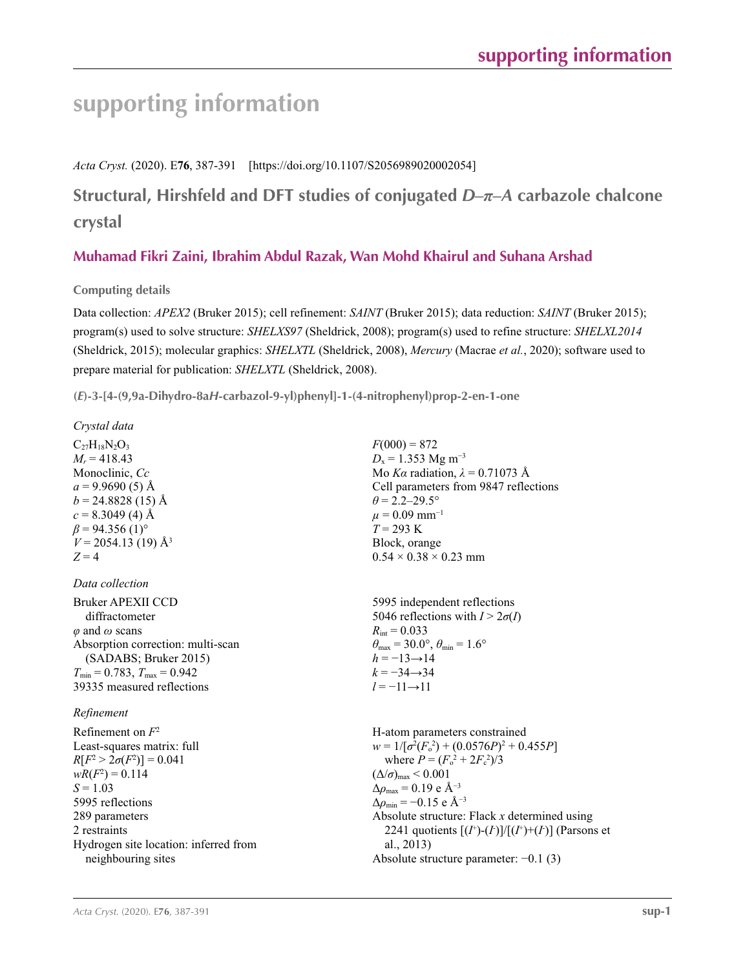# **supporting information**

*Acta Cryst.* (2020). E**76**, 387-391 [https://doi.org/10.1107/S2056989020002054]

## **Structural, Hirshfeld and DFT studies of conjugated** *D***–***π***–***A* **carbazole chalcone crystal**

### **Muhamad Fikri Zaini, Ibrahim Abdul Razak, Wan Mohd Khairul and Suhana Arshad**

**Computing details** 

Data collection: *APEX2* (Bruker 2015); cell refinement: *SAINT* (Bruker 2015); data reduction: *SAINT* (Bruker 2015); program(s) used to solve structure: *SHELXS97* (Sheldrick, 2008); program(s) used to refine structure: *SHELXL2014* (Sheldrick, 2015); molecular graphics: *SHELXTL* (Sheldrick, 2008), *Mercury* (Macrae *et al.*, 2020); software used to prepare material for publication: *SHELXTL* (Sheldrick, 2008).

**(***E***)-3-[4-(9,9a-Dihydro-8a***H***-carbazol-9-yl)phenyl]-1-(4-nitrophenyl)prop-2-en-1-one** 

| Crystal data                                                                                                                                                                                                                                 |                                                                                                                                                                                                                                                                                                                                                                                                                                              |
|----------------------------------------------------------------------------------------------------------------------------------------------------------------------------------------------------------------------------------------------|----------------------------------------------------------------------------------------------------------------------------------------------------------------------------------------------------------------------------------------------------------------------------------------------------------------------------------------------------------------------------------------------------------------------------------------------|
| $C_{27}H_{18}N_2O_3$<br>$M_r = 418.43$<br>Monoclinic, Cc<br>$a = 9.9690(5)$ Å<br>$b = 24.8828(15)$ Å<br>$c = 8.3049$ (4) Å<br>$\beta$ = 94.356 (1) <sup>o</sup><br>$V = 2054.13(19)$ Å <sup>3</sup><br>$Z = 4$                               | $F(000) = 872$<br>$D_x = 1.353$ Mg m <sup>-3</sup><br>Mo Ka radiation, $\lambda = 0.71073$ Å<br>Cell parameters from 9847 reflections<br>$\theta$ = 2.2–29.5°<br>$\mu = 0.09$ mm <sup>-1</sup><br>$T = 293 \text{ K}$<br>Block, orange<br>$0.54 \times 0.38 \times 0.23$ mm                                                                                                                                                                  |
| Data collection                                                                                                                                                                                                                              |                                                                                                                                                                                                                                                                                                                                                                                                                                              |
| <b>Bruker APEXII CCD</b><br>diffractometer<br>$\varphi$ and $\omega$ scans<br>Absorption correction: multi-scan<br>(SADABS; Bruker 2015)<br>$T_{\min}$ = 0.783, $T_{\max}$ = 0.942<br>39335 measured reflections<br>Refinement               | 5995 independent reflections<br>5046 reflections with $I > 2\sigma(I)$<br>$R_{\text{int}} = 0.033$<br>$\theta_{\text{max}} = 30.0^{\circ}, \theta_{\text{min}} = 1.6^{\circ}$<br>$h = -13 \rightarrow 14$<br>$k = -34 \rightarrow 34$<br>$l = -11 \rightarrow 11$                                                                                                                                                                            |
| Refinement on $F^2$<br>Least-squares matrix: full<br>$R[F^2 > 2\sigma(F^2)] = 0.041$<br>$wR(F^2) = 0.114$<br>$S = 1.03$<br>5995 reflections<br>289 parameters<br>2 restraints<br>Hydrogen site location: inferred from<br>neighbouring sites | H-atom parameters constrained<br>$w = 1/[\sigma^2(F_o^2) + (0.0576P)^2 + 0.455P]$<br>where $P = (F_0^2 + 2F_s^2)/3$<br>$(\Delta/\sigma)_{\text{max}}$ < 0.001<br>$\Delta\rho_{\text{max}} = 0.19$ e Å <sup>-3</sup><br>$\Delta \rho_{\rm min} = -0.15$ e Å <sup>-3</sup><br>Absolute structure: Flack $x$ determined using<br>2241 quotients $[(I^*)-(I)]/[(I^*)+(I)]$ (Parsons et<br>al., 2013)<br>Absolute structure parameter: $-0.1$ (3) |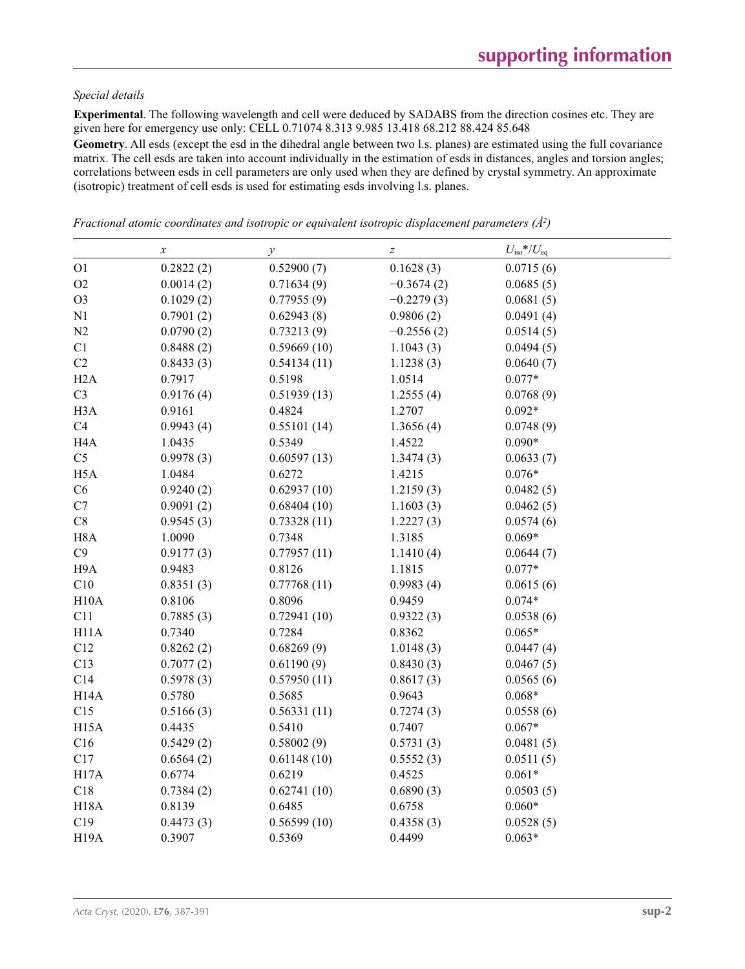#### *Special details*

**Experimental**. The following wavelength and cell were deduced by SADABS from the direction cosines etc. They are given here for emergency use only: CELL 0.71074 8.313 9.985 13.418 68.212 88.424 85.648

Geometry. All esds (except the esd in the dihedral angle between two l.s. planes) are estimated using the full covariance matrix. The cell esds are taken into account individually in the estimation of esds in distances, angles and torsion angles; correlations between esds in cell parameters are only used when they are defined by crystal symmetry. An approximate (isotropic) treatment of cell esds is used for estimating esds involving l.s. planes.

|                   | $\boldsymbol{\chi}$ | $\mathcal{Y}$ | $\boldsymbol{Z}$ | $U_{\text{iso}}$ */ $U_{\text{eq}}$ |  |
|-------------------|---------------------|---------------|------------------|-------------------------------------|--|
| O <sub>1</sub>    | 0.2822(2)           | 0.52900(7)    | 0.1628(3)        | 0.0715(6)                           |  |
| O2                | 0.0014(2)           | 0.71634(9)    | $-0.3674(2)$     | 0.0685(5)                           |  |
| O <sub>3</sub>    | 0.1029(2)           | 0.77955(9)    | $-0.2279(3)$     | 0.0681(5)                           |  |
| N1                | 0.7901(2)           | 0.62943(8)    | 0.9806(2)        | 0.0491(4)                           |  |
| N2                | 0.0790(2)           | 0.73213(9)    | $-0.2556(2)$     | 0.0514(5)                           |  |
| C1                | 0.8488(2)           | 0.59669(10)   | 1.1043(3)        | 0.0494(5)                           |  |
| C2                | 0.8433(3)           | 0.54134(11)   | 1.1238(3)        | 0.0640(7)                           |  |
| H2A               | 0.7917              | 0.5198        | 1.0514           | $0.077*$                            |  |
| C <sub>3</sub>    | 0.9176(4)           | 0.51939(13)   | 1.2555(4)        | 0.0768(9)                           |  |
| H <sub>3</sub> A  | 0.9161              | 0.4824        | 1.2707           | $0.092*$                            |  |
| C4                | 0.9943(4)           | 0.55101(14)   | 1.3656(4)        | 0.0748(9)                           |  |
| H <sub>4</sub> A  | 1.0435              | 0.5349        | 1.4522           | $0.090*$                            |  |
| C <sub>5</sub>    | 0.9978(3)           | 0.60597(13)   | 1.3474(3)        | 0.0633(7)                           |  |
| H <sub>5</sub> A  | 1.0484              | 0.6272        | 1.4215           | $0.076*$                            |  |
| C6                | 0.9240(2)           | 0.62937(10)   | 1.2159(3)        | 0.0482(5)                           |  |
| C7                | 0.9091(2)           | 0.68404(10)   | 1.1603(3)        | 0.0462(5)                           |  |
| C8                | 0.9545(3)           | 0.73328(11)   | 1.2227(3)        | 0.0574(6)                           |  |
| H <sub>8</sub> A  | 1.0090              | 0.7348        | 1.3185           | $0.069*$                            |  |
| C9                | 0.9177(3)           | 0.77957(11)   | 1.1410(4)        | 0.0644(7)                           |  |
| H9A               | 0.9483              | 0.8126        | 1.1815           | $0.077*$                            |  |
| C10               | 0.8351(3)           | 0.77768(11)   | 0.9983(4)        | 0.0615(6)                           |  |
| H10A              | 0.8106              | 0.8096        | 0.9459           | $0.074*$                            |  |
| C11               | 0.7885(3)           | 0.72941(10)   | 0.9322(3)        | 0.0538(6)                           |  |
| H <sub>11</sub> A | 0.7340              | 0.7284        | 0.8362           | $0.065*$                            |  |
| C12               | 0.8262(2)           | 0.68269(9)    | 1.0148(3)        | 0.0447(4)                           |  |
| C13               | 0.7077(2)           | 0.61190(9)    | 0.8430(3)        | 0.0467(5)                           |  |
| C14               | 0.5978(3)           | 0.57950(11)   | 0.8617(3)        | 0.0565(6)                           |  |
| H <sub>14</sub> A | 0.5780              | 0.5685        | 0.9643           | $0.068*$                            |  |
| C15               | 0.5166(3)           | 0.56331(11)   | 0.7274(3)        | 0.0558(6)                           |  |
| H <sub>15</sub> A | 0.4435              | 0.5410        | 0.7407           | $0.067*$                            |  |
| C16               | 0.5429(2)           | 0.58002(9)    | 0.5731(3)        | 0.0481(5)                           |  |
| C17               | 0.6564(2)           | 0.61148(10)   | 0.5552(3)        | 0.0511(5)                           |  |
| H17A              | 0.6774              | 0.6219        | 0.4525           | $0.061*$                            |  |
| C18               | 0.7384(2)           | 0.62741(10)   | 0.6890(3)        | 0.0503(5)                           |  |
| <b>H18A</b>       | 0.8139              | 0.6485        | 0.6758           | $0.060*$                            |  |
| C19               | 0.4473(3)           | 0.56599(10)   | 0.4358(3)        | 0.0528(5)                           |  |
| <b>H19A</b>       | 0.3907              | 0.5369        | 0.4499           | $0.063*$                            |  |

*Fractional atomic coordinates and isotropic or equivalent isotropic displacement parameters (Å<sup>2</sup>)*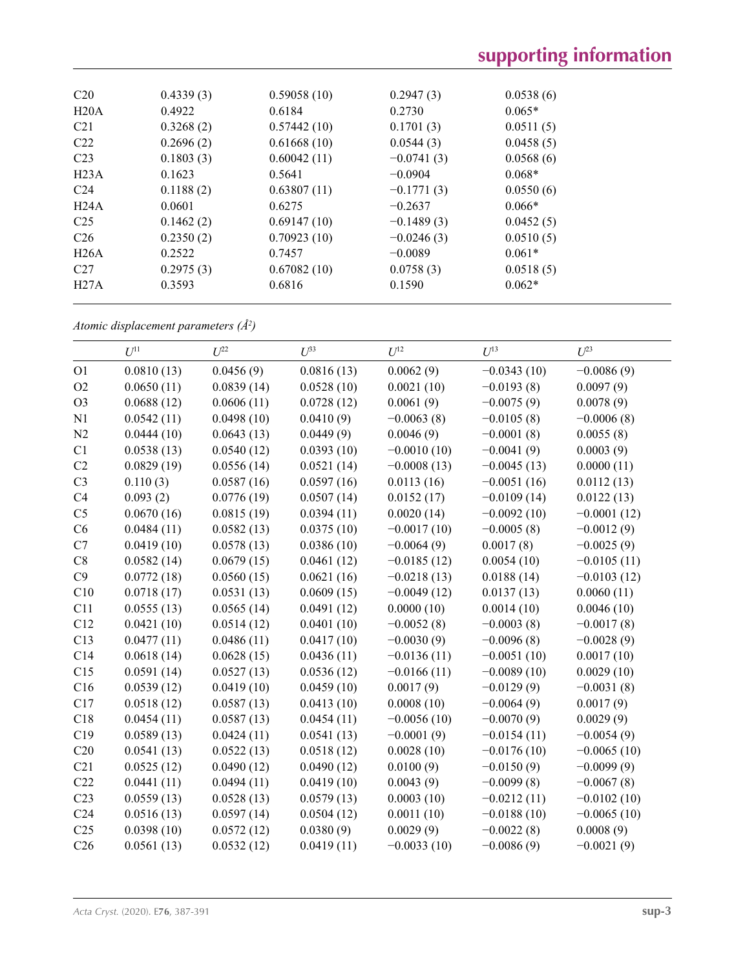| C <sub>20</sub>  | 0.4339(3) | 0.59058(10) | 0.2947(3)    | 0.0538(6) |  |
|------------------|-----------|-------------|--------------|-----------|--|
| H20A             | 0.4922    | 0.6184      | 0.2730       | $0.065*$  |  |
| C <sub>21</sub>  | 0.3268(2) | 0.57442(10) | 0.1701(3)    | 0.0511(5) |  |
| C <sub>22</sub>  | 0.2696(2) | 0.61668(10) | 0.0544(3)    | 0.0458(5) |  |
| C <sub>23</sub>  | 0.1803(3) | 0.60042(11) | $-0.0741(3)$ | 0.0568(6) |  |
| H <sub>23A</sub> | 0.1623    | 0.5641      | $-0.0904$    | $0.068*$  |  |
| C <sub>24</sub>  | 0.1188(2) | 0.63807(11) | $-0.1771(3)$ | 0.0550(6) |  |
| H24A             | 0.0601    | 0.6275      | $-0.2637$    | $0.066*$  |  |
| C <sub>25</sub>  | 0.1462(2) | 0.69147(10) | $-0.1489(3)$ | 0.0452(5) |  |
| C <sub>26</sub>  | 0.2350(2) | 0.70923(10) | $-0.0246(3)$ | 0.0510(5) |  |
| H26A             | 0.2522    | 0.7457      | $-0.0089$    | $0.061*$  |  |
| C27              | 0.2975(3) | 0.67082(10) | 0.0758(3)    | 0.0518(5) |  |
| H27A             | 0.3593    | 0.6816      | 0.1590       | $0.062*$  |  |

*Atomic displacement parameters (Å2 )*

|                 | $U^{11}$   | $U^{22}$   | $U^{33}$   | $U^{12}$      | $U^{13}$      | $U^{23}$      |
|-----------------|------------|------------|------------|---------------|---------------|---------------|
| O <sub>1</sub>  | 0.0810(13) | 0.0456(9)  | 0.0816(13) | 0.0062(9)     | $-0.0343(10)$ | $-0.0086(9)$  |
| O2              | 0.0650(11) | 0.0839(14) | 0.0528(10) | 0.0021(10)    | $-0.0193(8)$  | 0.0097(9)     |
| O <sub>3</sub>  | 0.0688(12) | 0.0606(11) | 0.0728(12) | 0.0061(9)     | $-0.0075(9)$  | 0.0078(9)     |
| N1              | 0.0542(11) | 0.0498(10) | 0.0410(9)  | $-0.0063(8)$  | $-0.0105(8)$  | $-0.0006(8)$  |
| N2              | 0.0444(10) | 0.0643(13) | 0.0449(9)  | 0.0046(9)     | $-0.0001(8)$  | 0.0055(8)     |
| C1              | 0.0538(13) | 0.0540(12) | 0.0393(10) | $-0.0010(10)$ | $-0.0041(9)$  | 0.0003(9)     |
| C2              | 0.0829(19) | 0.0556(14) | 0.0521(14) | $-0.0008(13)$ | $-0.0045(13)$ | 0.0000(11)    |
| C <sub>3</sub>  | 0.110(3)   | 0.0587(16) | 0.0597(16) | 0.0113(16)    | $-0.0051(16)$ | 0.0112(13)    |
| C4              | 0.093(2)   | 0.0776(19) | 0.0507(14) | 0.0152(17)    | $-0.0109(14)$ | 0.0122(13)    |
| C <sub>5</sub>  | 0.0670(16) | 0.0815(19) | 0.0394(11) | 0.0020(14)    | $-0.0092(10)$ | $-0.0001(12)$ |
| C6              | 0.0484(11) | 0.0582(13) | 0.0375(10) | $-0.0017(10)$ | $-0.0005(8)$  | $-0.0012(9)$  |
| C7              | 0.0419(10) | 0.0578(13) | 0.0386(10) | $-0.0064(9)$  | 0.0017(8)     | $-0.0025(9)$  |
| $\rm{C}8$       | 0.0582(14) | 0.0679(15) | 0.0461(12) | $-0.0185(12)$ | 0.0054(10)    | $-0.0105(11)$ |
| C9              | 0.0772(18) | 0.0560(15) | 0.0621(16) | $-0.0218(13)$ | 0.0188(14)    | $-0.0103(12)$ |
| C10             | 0.0718(17) | 0.0531(13) | 0.0609(15) | $-0.0049(12)$ | 0.0137(13)    | 0.0060(11)    |
| C11             | 0.0555(13) | 0.0565(14) | 0.0491(12) | 0.0000(10)    | 0.0014(10)    | 0.0046(10)    |
| C12             | 0.0421(10) | 0.0514(12) | 0.0401(10) | $-0.0052(8)$  | $-0.0003(8)$  | $-0.0017(8)$  |
| C13             | 0.0477(11) | 0.0486(11) | 0.0417(10) | $-0.0030(9)$  | $-0.0096(8)$  | $-0.0028(9)$  |
| C14             | 0.0618(14) | 0.0628(15) | 0.0436(11) | $-0.0136(11)$ | $-0.0051(10)$ | 0.0017(10)    |
| C15             | 0.0591(14) | 0.0527(13) | 0.0536(12) | $-0.0166(11)$ | $-0.0089(10)$ | 0.0029(10)    |
| C16             | 0.0539(12) | 0.0419(10) | 0.0459(10) | 0.0017(9)     | $-0.0129(9)$  | $-0.0031(8)$  |
| C17             | 0.0518(12) | 0.0587(13) | 0.0413(10) | 0.0008(10)    | $-0.0064(9)$  | 0.0017(9)     |
| C18             | 0.0454(11) | 0.0587(13) | 0.0454(11) | $-0.0056(10)$ | $-0.0070(9)$  | 0.0029(9)     |
| C19             | 0.0589(13) | 0.0424(11) | 0.0541(13) | $-0.0001(9)$  | $-0.0154(11)$ | $-0.0054(9)$  |
| C20             | 0.0541(13) | 0.0522(13) | 0.0518(12) | 0.0028(10)    | $-0.0176(10)$ | $-0.0065(10)$ |
| C21             | 0.0525(12) | 0.0490(12) | 0.0490(12) | 0.0100(9)     | $-0.0150(9)$  | $-0.0099(9)$  |
| C22             | 0.0441(11) | 0.0494(11) | 0.0419(10) | 0.0043(9)     | $-0.0099(8)$  | $-0.0067(8)$  |
| C23             | 0.0559(13) | 0.0528(13) | 0.0579(13) | 0.0003(10)    | $-0.0212(11)$ | $-0.0102(10)$ |
| C <sub>24</sub> | 0.0516(13) | 0.0597(14) | 0.0504(12) | 0.0011(10)    | $-0.0188(10)$ | $-0.0065(10)$ |
| C <sub>25</sub> | 0.0398(10) | 0.0572(12) | 0.0380(9)  | 0.0029(9)     | $-0.0022(8)$  | 0.0008(9)     |
| C <sub>26</sub> | 0.0561(13) | 0.0532(12) | 0.0419(11) | $-0.0033(10)$ | $-0.0086(9)$  | $-0.0021(9)$  |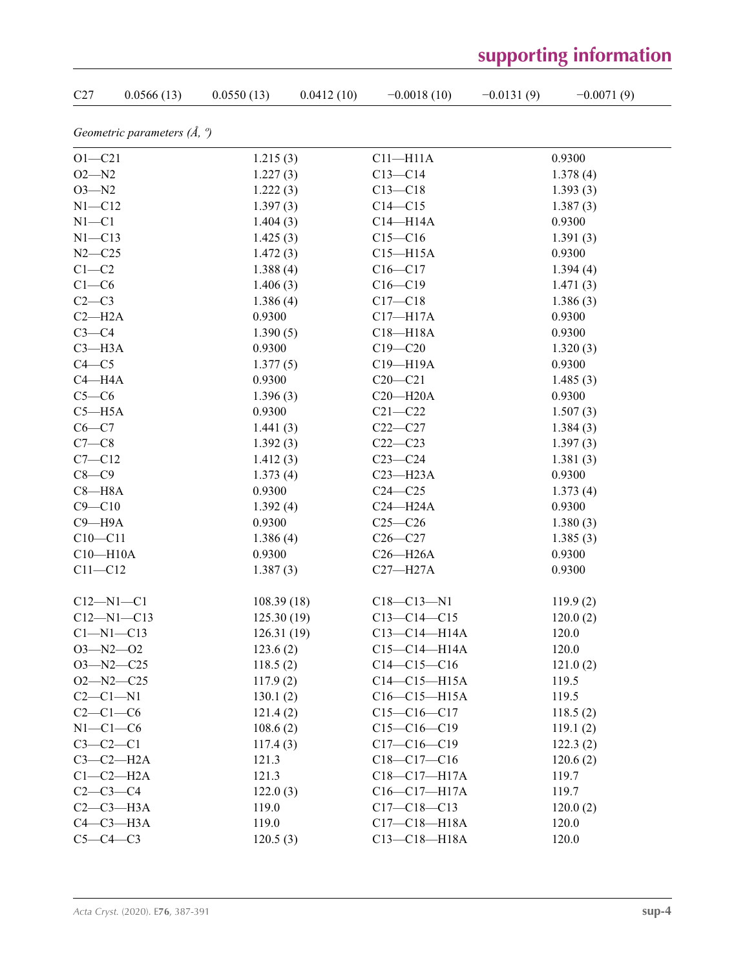| C27          | 0.0566(13)                            | 0.0550(13) | 0.0412(10) | $-0.0018(10)$      | $-0.0131(9)$ | $-0.0071(9)$ |
|--------------|---------------------------------------|------------|------------|--------------------|--------------|--------------|
|              | Geometric parameters $(\AA, \degree)$ |            |            |                    |              |              |
| $O1 - C21$   |                                       | 1.215(3)   |            | $C11 - H11A$       |              | 0.9300       |
| $O2 - N2$    |                                       | 1.227(3)   |            | $C13 - C14$        |              | 1.378(4)     |
| $O3 - N2$    |                                       | 1.222(3)   |            | $C13 - C18$        |              | 1.393(3)     |
| $N1 - C12$   |                                       | 1.397(3)   |            | $C14 - C15$        |              | 1.387(3)     |
| $N1 - C1$    |                                       | 1.404(3)   |            | $C14 - H14A$       |              | 0.9300       |
| $N1 - C13$   |                                       | 1.425(3)   |            | $C15 - C16$        |              | 1.391(3)     |
| $N2 - C25$   |                                       | 1.472(3)   |            | $C15 - H15A$       |              | 0.9300       |
| $C1-C2$      |                                       | 1.388(4)   |            | $C16 - C17$        |              | 1.394(4)     |
| $C1-C6$      |                                       | 1.406(3)   |            | $C16 - C19$        |              | 1.471(3)     |
| $C2-C3$      |                                       | 1.386(4)   |            | $C17 - C18$        |              | 1.386(3)     |
| $C2 - H2A$   |                                       | 0.9300     |            | $C17 - H17A$       |              | 0.9300       |
| $C3-C4$      |                                       | 1.390(5)   |            | $C18 - H18A$       |              | 0.9300       |
| $C3 - H3A$   |                                       | 0.9300     |            | $C19 - C20$        |              | 1.320(3)     |
| $C4 - C5$    |                                       | 1.377(5)   |            | C19-H19A           |              | 0.9300       |
| $C4 - H4A$   |                                       | 0.9300     |            | $C20-C21$          |              | 1.485(3)     |
| $C5-C6$      |                                       | 1.396(3)   |            | $C20 - H20A$       |              | 0.9300       |
| $C5 - H5A$   |                                       | 0.9300     |            | $C21 - C22$        |              | 1.507(3)     |
| $C6-C7$      |                                       | 1.441(3)   |            | $C22-C27$          |              | 1.384(3)     |
| $C7-C8$      |                                       | 1.392(3)   |            | $C22-C23$          |              | 1.397(3)     |
| $C7 - C12$   |                                       | 1.412(3)   |            | $C23-C24$          |              | 1.381(3)     |
| $C8-C9$      |                                       | 1.373(4)   |            | $C23 - H23A$       |              | 0.9300       |
| $C8 - H8A$   |                                       | 0.9300     |            | $C24 - C25$        |              | 1.373(4)     |
| $C9 - C10$   |                                       | 1.392(4)   |            | $C24 - H24A$       |              | 0.9300       |
| $C9 - H9A$   |                                       | 0.9300     |            | $C25-C26$          |              | 1.380(3)     |
| $C10 - C11$  |                                       | 1.386(4)   |            | $C26-C27$          |              | 1.385(3)     |
| $C10 - H10A$ |                                       | 0.9300     |            | $C26 - H26A$       |              | 0.9300       |
| $C11 - C12$  |                                       | 1.387(3)   |            | $C27 - H27A$       |              | 0.9300       |
|              | $C12 - N1 - C1$                       | 108.39(18) |            | $C18 - C13 - N1$   |              | 119.9(2)     |
|              | $C12 - N1 - C13$                      | 125.30(19) |            | $C13 - C14 - C15$  |              | 120.0(2)     |
|              | $Cl-M1-C13$                           | 126.31(19) |            | $C13 - C14 - H14A$ |              | 120.0        |
|              | $O3 - N2 - O2$                        | 123.6(2)   |            | $C15-C14-H14A$     |              | 120.0        |
|              | $O3 - N2 - C25$                       | 118.5(2)   |            | $C14-C15-C16$      |              | 121.0(2)     |
|              | $O2 - N2 - C25$                       | 117.9(2)   |            | $C14-C15-H15A$     |              | 119.5        |
| $C2-C1-N1$   |                                       | 130.1(2)   |            | $C16-C15-H15A$     |              | 119.5        |
| $C2-C1-C6$   |                                       | 121.4(2)   |            | $C15-C16-C17$      |              | 118.5(2)     |
| $N1-C1-C6$   |                                       | 108.6(2)   |            | $C15-C16-C19$      |              | 119.1(2)     |
| $C3-C2-C1$   |                                       | 117.4(3)   |            | $C17-C16-C19$      |              | 122.3(2)     |
|              | $C3-C2-H2A$                           | 121.3      |            | $C18-C17-C16$      |              | 120.6(2)     |
|              | $C1-C2-H2A$                           | 121.3      |            | $C18 - C17 - H17A$ |              | 119.7        |
| $C2-C3-C4$   |                                       | 122.0(3)   |            | $C16-C17-H17A$     |              | 119.7        |
|              | $C2-C3-H3A$                           | 119.0      |            | $C17 - C18 - C13$  |              | 120.0(2)     |
|              | $C4-C3-H3A$                           | 119.0      |            | $C17 - C18 - H18A$ |              | 120.0        |
| $C5-C4-C3$   |                                       | 120.5(3)   |            | $C13 - C18 - H18A$ |              | 120.0        |

# **supporting information**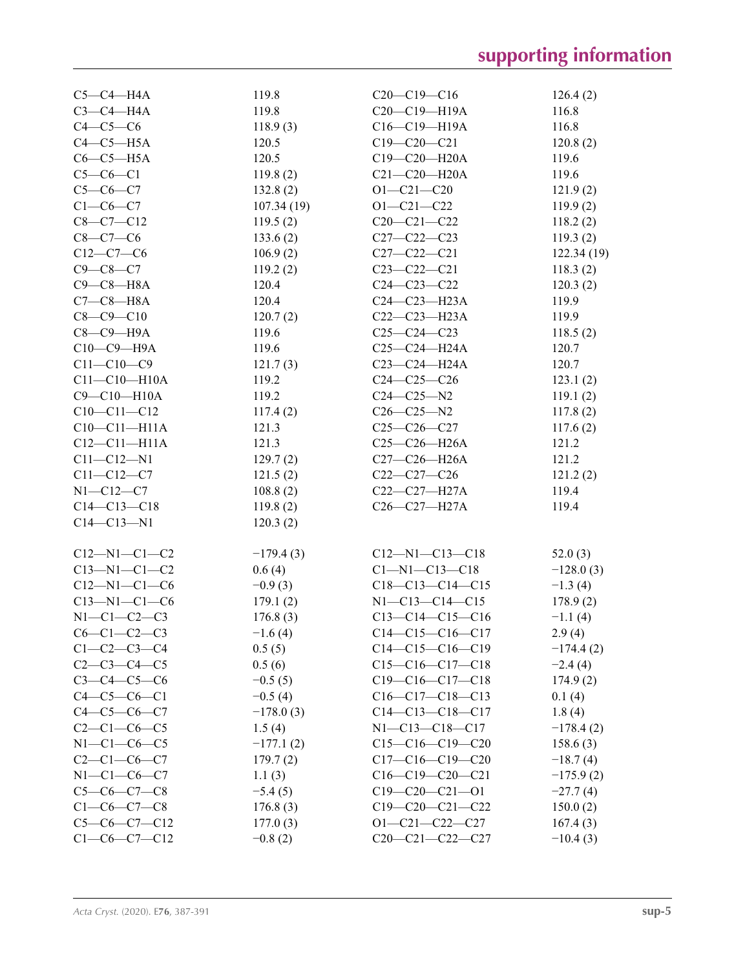| $C5-C4-H4A$          | 119.8       | $C20-C19-C16$          | 126.4(2)    |
|----------------------|-------------|------------------------|-------------|
| $C3-C4-H4A$          | 119.8       | $C20-C19-H19A$         | 116.8       |
| $C4-C5-C6$           | 118.9(3)    | $C16-C19-H19A$         | 116.8       |
| $C4-C5-H5A$          | 120.5       | $C19 - C20 - C21$      | 120.8(2)    |
| $C6-C5-H5A$          | 120.5       | $C19 - C20 - H20A$     | 119.6       |
| $C5-C6-C1$           | 119.8(2)    | $C21 - C20 - H20A$     | 119.6       |
| $C5 - C6 - C7$       | 132.8(2)    | $O1 - C21 - C20$       | 121.9(2)    |
| $C1-C6-C7$           | 107.34(19)  | $O1 - C21 - C22$       | 119.9(2)    |
| $C8-C7-C12$          | 119.5(2)    | $C20-C21-C22$          | 118.2(2)    |
| $C8 - C7 - C6$       | 133.6(2)    | $C27 - C22 - C23$      | 119.3(2)    |
| $C12-C7-C6$          | 106.9(2)    | $C27 - C22 - C21$      | 122.34(19)  |
| $C9 - C8 - C7$       | 119.2(2)    | $C23-C22-C21$          | 118.3(2)    |
| $C9 - C8 - H8A$      | 120.4       | $C24 - C23 - C22$      | 120.3(2)    |
| $C7-C8-H8A$          | 120.4       | $C24-C23-H23A$         | 119.9       |
| $C8 - C9 - C10$      | 120.7(2)    | $C22-C23-H23A$         | 119.9       |
| $C8-C9-H9A$          | 119.6       | $C25-C24-C23$          | 118.5(2)    |
| $C10-C9-H9A$         | 119.6       | $C25 - C24 - H24A$     | 120.7       |
| $C11 - C10 - C9$     | 121.7(3)    | $C23-C24-H24A$         | 120.7       |
| $C11 - C10 - H10A$   | 119.2       | $C24 - C25 - C26$      | 123.1(2)    |
| $C9 - C10 - H10A$    | 119.2       | $C24 - C25 - N2$       | 119.1(2)    |
| $C10-C11-C12$        | 117.4(2)    | $C26 - C25 - N2$       | 117.8(2)    |
| $C10-C11-H11A$       | 121.3       | $C25 - C26 - C27$      | 117.6(2)    |
| $C12 - C11 - H11A$   | 121.3       | $C25-C26-H26A$         | 121.2       |
| $C11 - C12 - N1$     |             | $C27-C26-H26A$         | 121.2       |
|                      | 129.7(2)    |                        |             |
| $C11 - C12 - C7$     | 121.5(2)    | $C22-C27-C26$          | 121.2(2)    |
| $N1 - C12 - C7$      | 108.8(2)    | $C22-C27-H27A$         | 119.4       |
| $C14 - C13 - C18$    | 119.8(2)    | $C26-C27-H27A$         | 119.4       |
| $C14 - C13 - N1$     | 120.3(2)    |                        |             |
| $C12 - N1 - C1 - C2$ | $-179.4(3)$ | $C12 - N1 - C13 - C18$ | 52.0(3)     |
| $C13 - N1 - C1 - C2$ | 0.6(4)      | $C1 - N1 - C13 - C18$  | $-128.0(3)$ |
| $C12 - N1 - C1 - C6$ | $-0.9(3)$   | $C18-C13-C14-C15$      | $-1.3(4)$   |
| $C13 - N1 - C1 - C6$ | 179.1(2)    | $N1 - C13 - C14 - C15$ | 178.9(2)    |
| $N1-C1-C2-C3$        | 176.8(3)    | $C13-C14-C15-C16$      | $-1.1(4)$   |
| $C6-C1-C2-C3$        | $-1.6(4)$   | $C14-C15-C16-C17$      | 2.9(4)      |
| $C1 - C2 - C3 - C4$  | 0.5(5)      | $C14-C15-C16-C19$      | $-174.4(2)$ |
| $C2-C3-C4-C5$        | 0.5(6)      | $C15-C16-C17-C18$      | $-2.4(4)$   |
| $C3 - C4 - C5 - C6$  | $-0.5(5)$   | $C19-C16-C17-C18$      | 174.9(2)    |
| $C4 - C5 - C6 - C1$  | $-0.5(4)$   | $C16-C17-C18-C13$      | 0.1(4)      |
| $C4 - C5 - C6 - C7$  | $-178.0(3)$ | $C14-C13-C18-C17$      | 1.8(4)      |
| $C2 - C1 - C6 - C5$  | 1.5(4)      | $N1 - C13 - C18 - C17$ | $-178.4(2)$ |
| $N1-C1-C6-C5$        | $-177.1(2)$ | $C15-C16-C19-C20$      | 158.6(3)    |
| $C2 - C1 - C6 - C7$  | 179.7(2)    | $C17-C16-C19-C20$      | $-18.7(4)$  |
| $N1 - C1 - C6 - C7$  | 1.1(3)      | $C16-C19-C20-C21$      | $-175.9(2)$ |
| $C5-C6-C7-C8$        | $-5.4(5)$   | $C19-C20-C21-01$       | $-27.7(4)$  |
| $C1-C6-C7-C8$        | 176.8(3)    | $C19-C20-C21-C22$      | 150.0(2)    |
| $C5-C6-C7-C12$       | 177.0(3)    | $O1 - C21 - C22 - C27$ | 167.4(3)    |
| $C1-C6-C7-C12$       | $-0.8(2)$   | $C20-C21-C22-C27$      | $-10.4(3)$  |
|                      |             |                        |             |